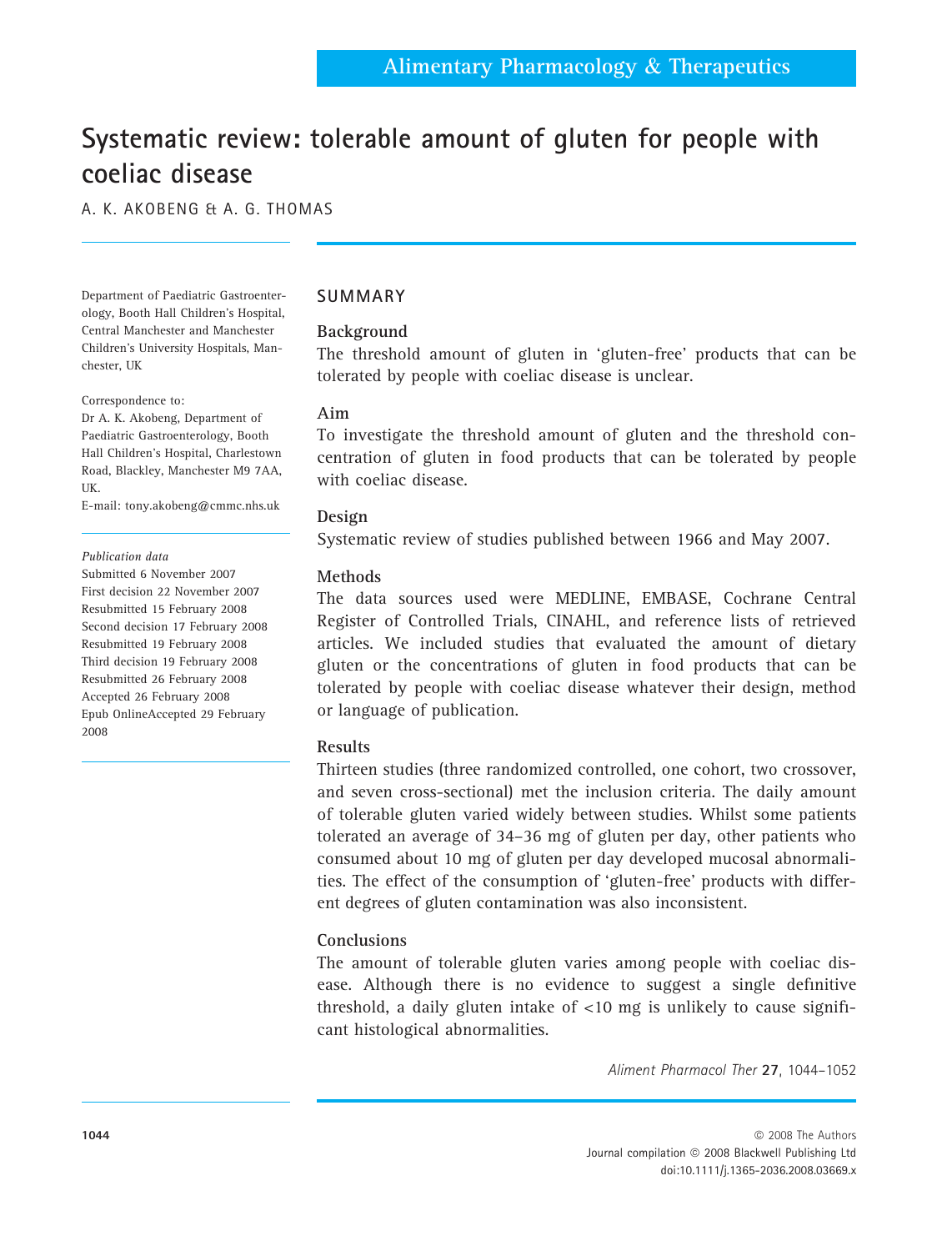# Systematic review: tolerable amount of gluten for people with coeliac disease

A. K. AKOBENG & A. G. THOMAS

Department of Paediatric Gastroenterology, Booth Hall Children's Hospital, Central Manchester and Manchester Children's University Hospitals, Manchester, UK

Correspondence to:

Dr A. K. Akobeng, Department of Paediatric Gastroenterology, Booth Hall Children's Hospital, Charlestown Road, Blackley, Manchester M9 7AA, UK.

E-mail: tony.akobeng@cmmc.nhs.uk

#### Publication data

Submitted 6 November 2007 First decision 22 November 2007 Resubmitted 15 February 2008 Second decision 17 February 2008 Resubmitted 19 February 2008 Third decision 19 February 2008 Resubmitted 26 February 2008 Accepted 26 February 2008 Epub OnlineAccepted 29 February 2008

# SUMMARY

# Background

The threshold amount of gluten in 'gluten-free' products that can be tolerated by people with coeliac disease is unclear.

#### Aim

To investigate the threshold amount of gluten and the threshold concentration of gluten in food products that can be tolerated by people with coeliac disease.

## Design

Systematic review of studies published between 1966 and May 2007.

## Methods

The data sources used were MEDLINE, EMBASE, Cochrane Central Register of Controlled Trials, CINAHL, and reference lists of retrieved articles. We included studies that evaluated the amount of dietary gluten or the concentrations of gluten in food products that can be tolerated by people with coeliac disease whatever their design, method or language of publication.

## Results

Thirteen studies (three randomized controlled, one cohort, two crossover, and seven cross-sectional) met the inclusion criteria. The daily amount of tolerable gluten varied widely between studies. Whilst some patients tolerated an average of 34–36 mg of gluten per day, other patients who consumed about 10 mg of gluten per day developed mucosal abnormalities. The effect of the consumption of 'gluten-free' products with different degrees of gluten contamination was also inconsistent.

# **Conclusions**

The amount of tolerable gluten varies among people with coeliac disease. Although there is no evidence to suggest a single definitive threshold, a daily gluten intake of <10 mg is unlikely to cause significant histological abnormalities.

Aliment Pharmacol Ther 27, 1044–1052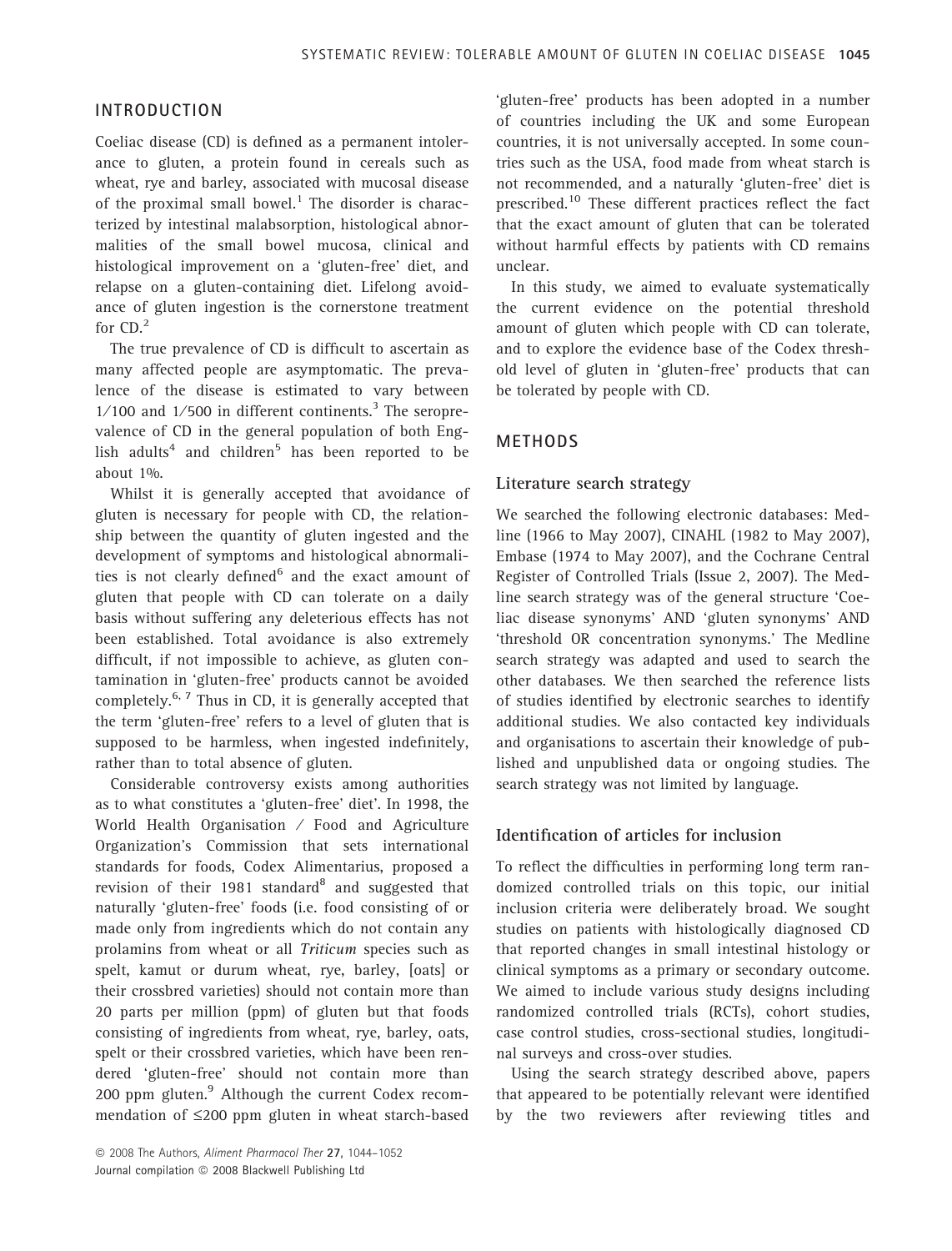# INTRODUCTION

Coeliac disease (CD) is defined as a permanent intolerance to gluten, a protein found in cereals such as wheat, rye and barley, associated with mucosal disease of the proximal small bowel.<sup>1</sup> The disorder is characterized by intestinal malabsorption, histological abnormalities of the small bowel mucosa, clinical and histological improvement on a 'gluten-free' diet, and relapse on a gluten-containing diet. Lifelong avoidance of gluten ingestion is the cornerstone treatment for CD.<sup>2</sup>

The true prevalence of CD is difficult to ascertain as many affected people are asymptomatic. The prevalence of the disease is estimated to vary between  $1/100$  and  $1/500$  in different continents.<sup>3</sup> The seroprevalence of CD in the general population of both English adults<sup>4</sup> and children<sup>5</sup> has been reported to be about 1%.

Whilst it is generally accepted that avoidance of gluten is necessary for people with CD, the relationship between the quantity of gluten ingested and the development of symptoms and histological abnormalities is not clearly defined $6$  and the exact amount of gluten that people with CD can tolerate on a daily basis without suffering any deleterious effects has not been established. Total avoidance is also extremely difficult, if not impossible to achieve, as gluten contamination in 'gluten-free' products cannot be avoided completely.6, 7 Thus in CD, it is generally accepted that the term 'gluten-free' refers to a level of gluten that is supposed to be harmless, when ingested indefinitely, rather than to total absence of gluten.

Considerable controversy exists among authorities as to what constitutes a 'gluten-free' diet'. In 1998, the World Health Organisation ⁄ Food and Agriculture Organization's Commission that sets international standards for foods, Codex Alimentarius, proposed a revision of their 1981 standard $8$  and suggested that naturally 'gluten-free' foods (i.e. food consisting of or made only from ingredients which do not contain any prolamins from wheat or all Triticum species such as spelt, kamut or durum wheat, rye, barley, [oats] or their crossbred varieties) should not contain more than 20 parts per million (ppm) of gluten but that foods consisting of ingredients from wheat, rye, barley, oats, spelt or their crossbred varieties, which have been rendered 'gluten-free' should not contain more than 200 ppm gluten.<sup>9</sup> Although the current Codex recommendation of  $\leq$ 200 ppm gluten in wheat starch-based

© 2008 The Authors, Aliment Pharmacol Ther 27, 1044-1052 Journal compilation @ 2008 Blackwell Publishing Ltd

'gluten-free' products has been adopted in a number of countries including the UK and some European countries, it is not universally accepted. In some countries such as the USA, food made from wheat starch is not recommended, and a naturally 'gluten-free' diet is prescribed.<sup>10</sup> These different practices reflect the fact that the exact amount of gluten that can be tolerated without harmful effects by patients with CD remains unclear.

In this study, we aimed to evaluate systematically the current evidence on the potential threshold amount of gluten which people with CD can tolerate, and to explore the evidence base of the Codex threshold level of gluten in 'gluten-free' products that can be tolerated by people with CD.

# METHODS

#### Literature search strategy

We searched the following electronic databases: Medline (1966 to May 2007), CINAHL (1982 to May 2007), Embase (1974 to May 2007), and the Cochrane Central Register of Controlled Trials (Issue 2, 2007). The Medline search strategy was of the general structure 'Coeliac disease synonyms' AND 'gluten synonyms' AND 'threshold OR concentration synonyms.' The Medline search strategy was adapted and used to search the other databases. We then searched the reference lists of studies identified by electronic searches to identify additional studies. We also contacted key individuals and organisations to ascertain their knowledge of published and unpublished data or ongoing studies. The search strategy was not limited by language.

## Identification of articles for inclusion

To reflect the difficulties in performing long term randomized controlled trials on this topic, our initial inclusion criteria were deliberately broad. We sought studies on patients with histologically diagnosed CD that reported changes in small intestinal histology or clinical symptoms as a primary or secondary outcome. We aimed to include various study designs including randomized controlled trials (RCTs), cohort studies, case control studies, cross-sectional studies, longitudinal surveys and cross-over studies.

Using the search strategy described above, papers that appeared to be potentially relevant were identified by the two reviewers after reviewing titles and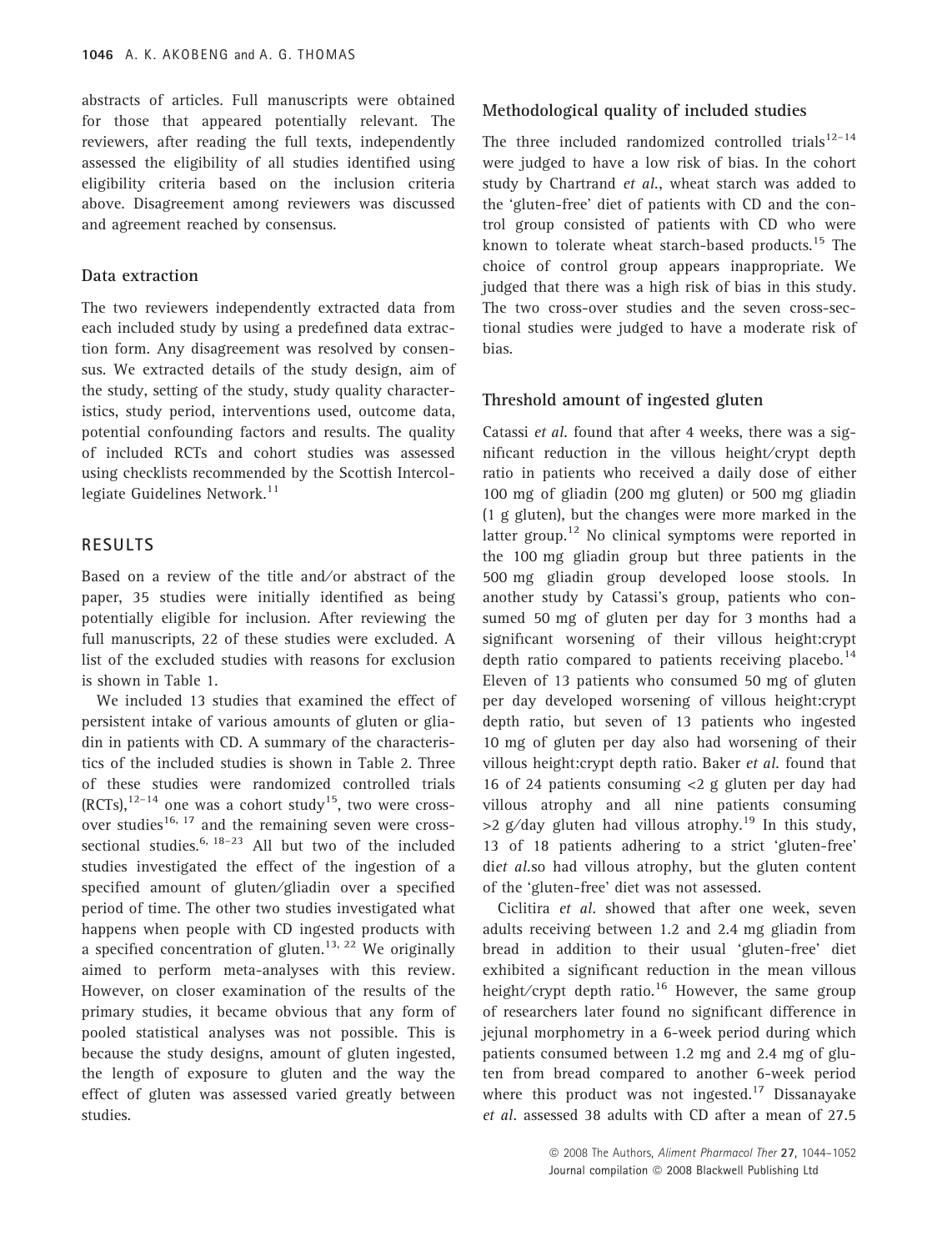abstracts of articles. Full manuscripts were obtained for those that appeared potentially relevant. The reviewers, after reading the full texts, independently assessed the eligibility of all studies identified using eligibility criteria based on the inclusion criteria above. Disagreement among reviewers was discussed and agreement reached by consensus.

## Data extraction

The two reviewers independently extracted data from each included study by using a predefined data extraction form. Any disagreement was resolved by consensus. We extracted details of the study design, aim of the study, setting of the study, study quality characteristics, study period, interventions used, outcome data, potential confounding factors and results. The quality of included RCTs and cohort studies was assessed using checklists recommended by the Scottish Intercollegiate Guidelines Network.<sup>11</sup>

#### RESULTS

Based on a review of the title and/or abstract of the paper, 35 studies were initially identified as being potentially eligible for inclusion. After reviewing the full manuscripts, 22 of these studies were excluded. A list of the excluded studies with reasons for exclusion is shown in Table 1.

We included 13 studies that examined the effect of persistent intake of various amounts of gluten or gliadin in patients with CD. A summary of the characteristics of the included studies is shown in Table 2. Three of these studies were randomized controlled trials  $(RCTs)$ ,  $12-14$  one was a cohort study<sup>15</sup>, two were crossover studies<sup>16, 17</sup> and the remaining seven were crosssectional studies.<sup>6, 18–23</sup> All but two of the included studies investigated the effect of the ingestion of a specified amount of gluten/gliadin over a specified period of time. The other two studies investigated what happens when people with CD ingested products with a specified concentration of gluten.<sup>13, 22</sup> We originally aimed to perform meta-analyses with this review. However, on closer examination of the results of the primary studies, it became obvious that any form of pooled statistical analyses was not possible. This is because the study designs, amount of gluten ingested, the length of exposure to gluten and the way the effect of gluten was assessed varied greatly between studies.

#### Methodological quality of included studies

The three included randomized controlled trials $12-14$ were judged to have a low risk of bias. In the cohort study by Chartrand et al., wheat starch was added to the 'gluten-free' diet of patients with CD and the control group consisted of patients with CD who were known to tolerate wheat starch-based products.<sup>15</sup> The choice of control group appears inappropriate. We judged that there was a high risk of bias in this study. The two cross-over studies and the seven cross-sectional studies were judged to have a moderate risk of bias.

#### Threshold amount of ingested gluten

Catassi et al. found that after 4 weeks, there was a significant reduction in the villous height⁄ crypt depth ratio in patients who received a daily dose of either 100 mg of gliadin (200 mg gluten) or 500 mg gliadin (1 g gluten), but the changes were more marked in the latter group.<sup>12</sup> No clinical symptoms were reported in the 100 mg gliadin group but three patients in the 500 mg gliadin group developed loose stools. In another study by Catassi's group, patients who consumed 50 mg of gluten per day for 3 months had a significant worsening of their villous height:crypt depth ratio compared to patients receiving placebo.<sup>14</sup> Eleven of 13 patients who consumed 50 mg of gluten per day developed worsening of villous height:crypt depth ratio, but seven of 13 patients who ingested 10 mg of gluten per day also had worsening of their villous height:crypt depth ratio. Baker et al. found that 16 of 24 patients consuming <2 g gluten per day had villous atrophy and all nine patients consuming  $>2$  g/day gluten had villous atrophy.<sup>19</sup> In this study, 13 of 18 patients adhering to a strict 'gluten-free' diet al.so had villous atrophy, but the gluten content of the 'gluten-free' diet was not assessed.

Ciclitira et al. showed that after one week, seven adults receiving between 1.2 and 2.4 mg gliadin from bread in addition to their usual 'gluten-free' diet exhibited a significant reduction in the mean villous height/crypt depth ratio.<sup>16</sup> However, the same group of researchers later found no significant difference in jejunal morphometry in a 6-week period during which patients consumed between 1.2 mg and 2.4 mg of gluten from bread compared to another 6-week period where this product was not ingested.<sup>17</sup> Dissanayake et al. assessed 38 adults with CD after a mean of 27.5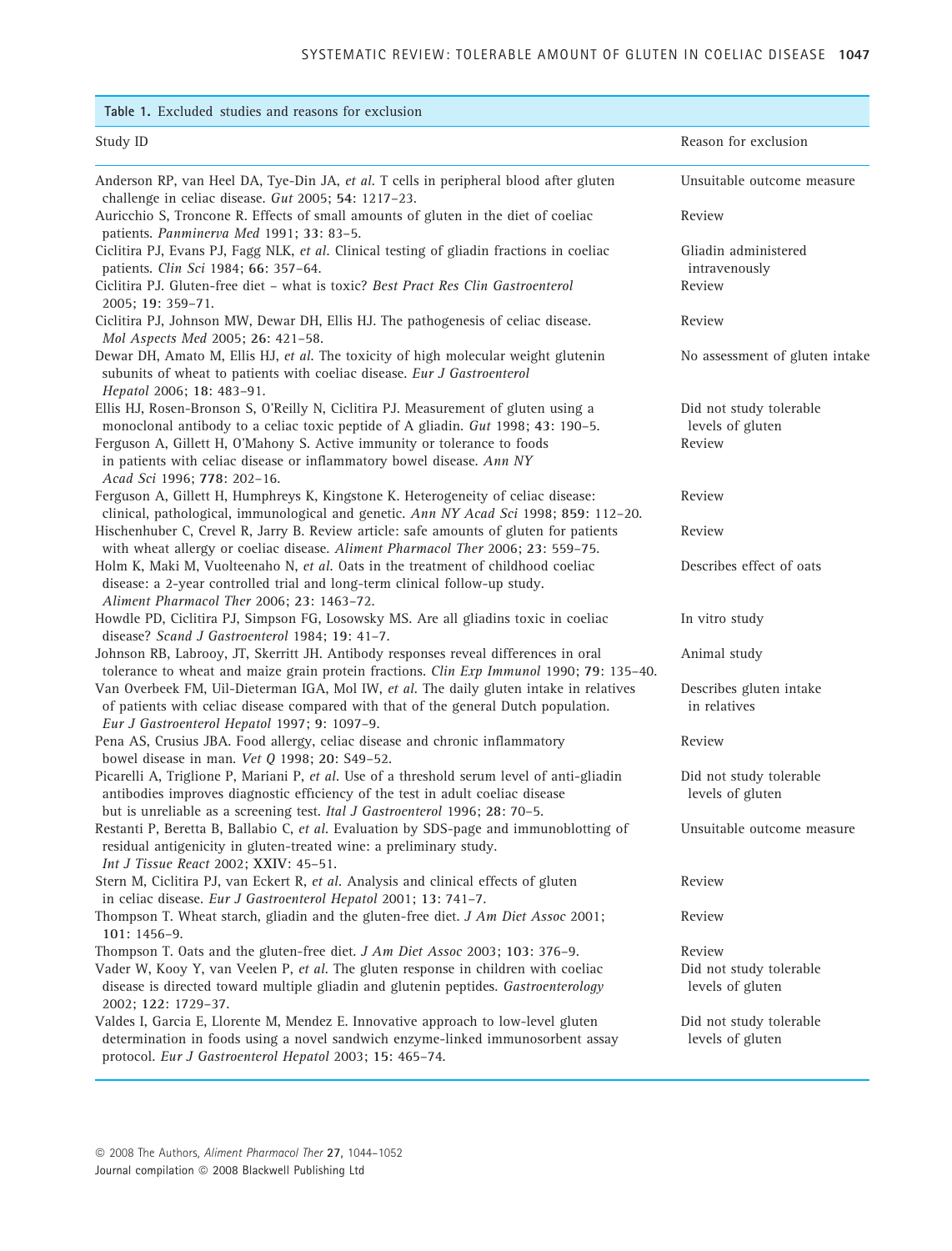| Table 1. Excluded studies and reasons for exclusion                                                                                                                                                                                                                                                                                                        |                                                       |
|------------------------------------------------------------------------------------------------------------------------------------------------------------------------------------------------------------------------------------------------------------------------------------------------------------------------------------------------------------|-------------------------------------------------------|
| Study ID                                                                                                                                                                                                                                                                                                                                                   | Reason for exclusion                                  |
| Anderson RP, van Heel DA, Tye-Din JA, et al. T cells in peripheral blood after gluten<br>challenge in celiac disease. Gut 2005; 54: 1217-23.                                                                                                                                                                                                               | Unsuitable outcome measure                            |
| Auricchio S, Troncone R. Effects of small amounts of gluten in the diet of coeliac<br>patients. Panminerva Med 1991; 33: 83-5.                                                                                                                                                                                                                             | Review                                                |
| Ciclitira PJ, Evans PJ, Fagg NLK, et al. Clinical testing of gliadin fractions in coeliac<br>patients. Clin Sci 1984; 66: 357-64.<br>Ciclitira PJ. Gluten-free diet - what is toxic? Best Pract Res Clin Gastroenterol                                                                                                                                     | Gliadin administered<br>intravenously<br>Review       |
| 2005; 19: 359-71.<br>Ciclitira PJ, Johnson MW, Dewar DH, Ellis HJ. The pathogenesis of celiac disease.                                                                                                                                                                                                                                                     | Review                                                |
| Mol Aspects Med 2005; 26: 421-58.<br>Dewar DH, Amato M, Ellis HJ, et al. The toxicity of high molecular weight glutenin<br>subunits of wheat to patients with coeliac disease. Eur J Gastroenterol<br>Hepatol 2006; 18: 483-91.                                                                                                                            | No assessment of gluten intake                        |
| Ellis HJ, Rosen-Bronson S, O'Reilly N, Ciclitira PJ. Measurement of gluten using a<br>monoclonal antibody to a celiac toxic peptide of A gliadin. Gut 1998; 43: 190-5.<br>Ferguson A, Gillett H, O'Mahony S. Active immunity or tolerance to foods<br>in patients with celiac disease or inflammatory bowel disease. Ann NY<br>Acad Sci 1996; 778: 202-16. | Did not study tolerable<br>levels of gluten<br>Review |
| Ferguson A, Gillett H, Humphreys K, Kingstone K. Heterogeneity of celiac disease:<br>clinical, pathological, immunological and genetic. Ann NY Acad Sci 1998; 859: 112-20.                                                                                                                                                                                 | Review                                                |
| Hischenhuber C, Crevel R, Jarry B. Review article: safe amounts of gluten for patients<br>with wheat allergy or coeliac disease. Aliment Pharmacol Ther 2006; 23: 559-75.                                                                                                                                                                                  | Review                                                |
| Holm K, Maki M, Vuolteenaho N, et al. Oats in the treatment of childhood coeliac<br>disease: a 2-year controlled trial and long-term clinical follow-up study.<br>Aliment Pharmacol Ther 2006; 23: 1463-72.                                                                                                                                                | Describes effect of oats                              |
| Howdle PD, Ciclitira PJ, Simpson FG, Losowsky MS. Are all gliadins toxic in coeliac<br>disease? Scand J Gastroenterol 1984; 19: 41-7.                                                                                                                                                                                                                      | In vitro study                                        |
| Johnson RB, Labrooy, JT, Skerritt JH. Antibody responses reveal differences in oral<br>tolerance to wheat and maize grain protein fractions. Clin Exp Immunol 1990; 79: 135-40.                                                                                                                                                                            | Animal study                                          |
| Van Overbeek FM, Uil-Dieterman IGA, Mol IW, et al. The daily gluten intake in relatives<br>of patients with celiac disease compared with that of the general Dutch population.<br>Eur J Gastroenterol Hepatol 1997; 9: 1097-9.                                                                                                                             | Describes gluten intake<br>in relatives               |
| Pena AS, Crusius JBA. Food allergy, celiac disease and chronic inflammatory<br>bowel disease in man. Vet Q 1998; 20: S49-52.                                                                                                                                                                                                                               | Review                                                |
| Picarelli A, Triglione P, Mariani P, et al. Use of a threshold serum level of anti-gliadin<br>antibodies improves diagnostic efficiency of the test in adult coeliac disease<br>but is unreliable as a screening test. Ital J Gastroenterol 1996; 28: 70-5.                                                                                                | Did not study tolerable<br>levels of gluten           |
| Restanti P, Beretta B, Ballabio C, et al. Evaluation by SDS-page and immunoblotting of<br>residual antigenicity in gluten-treated wine: a preliminary study.<br>Int J Tissue React 2002; XXIV: 45-51.                                                                                                                                                      | Unsuitable outcome measure                            |
| Stern M, Ciclitira PJ, van Eckert R, et al. Analysis and clinical effects of gluten<br>in celiac disease. Eur J Gastroenterol Hepatol 2001; 13: 741-7.                                                                                                                                                                                                     | Review                                                |
| Thompson T. Wheat starch, gliadin and the gluten-free diet. J Am Diet Assoc 2001;<br>101: 1456-9.                                                                                                                                                                                                                                                          | Review                                                |
| Thompson T. Oats and the gluten-free diet. J Am Diet Assoc 2003; 103: 376-9.<br>Vader W, Kooy Y, van Veelen P, et al. The gluten response in children with coeliac<br>disease is directed toward multiple gliadin and glutenin peptides. Gastroenterology<br>2002; 122: 1729-37.                                                                           | Review<br>Did not study tolerable<br>levels of gluten |
| Valdes I, Garcia E, Llorente M, Mendez E. Innovative approach to low-level gluten<br>determination in foods using a novel sandwich enzyme-linked immunosorbent assay<br>protocol. Eur J Gastroenterol Hepatol 2003; 15: 465-74.                                                                                                                            | Did not study tolerable<br>levels of gluten           |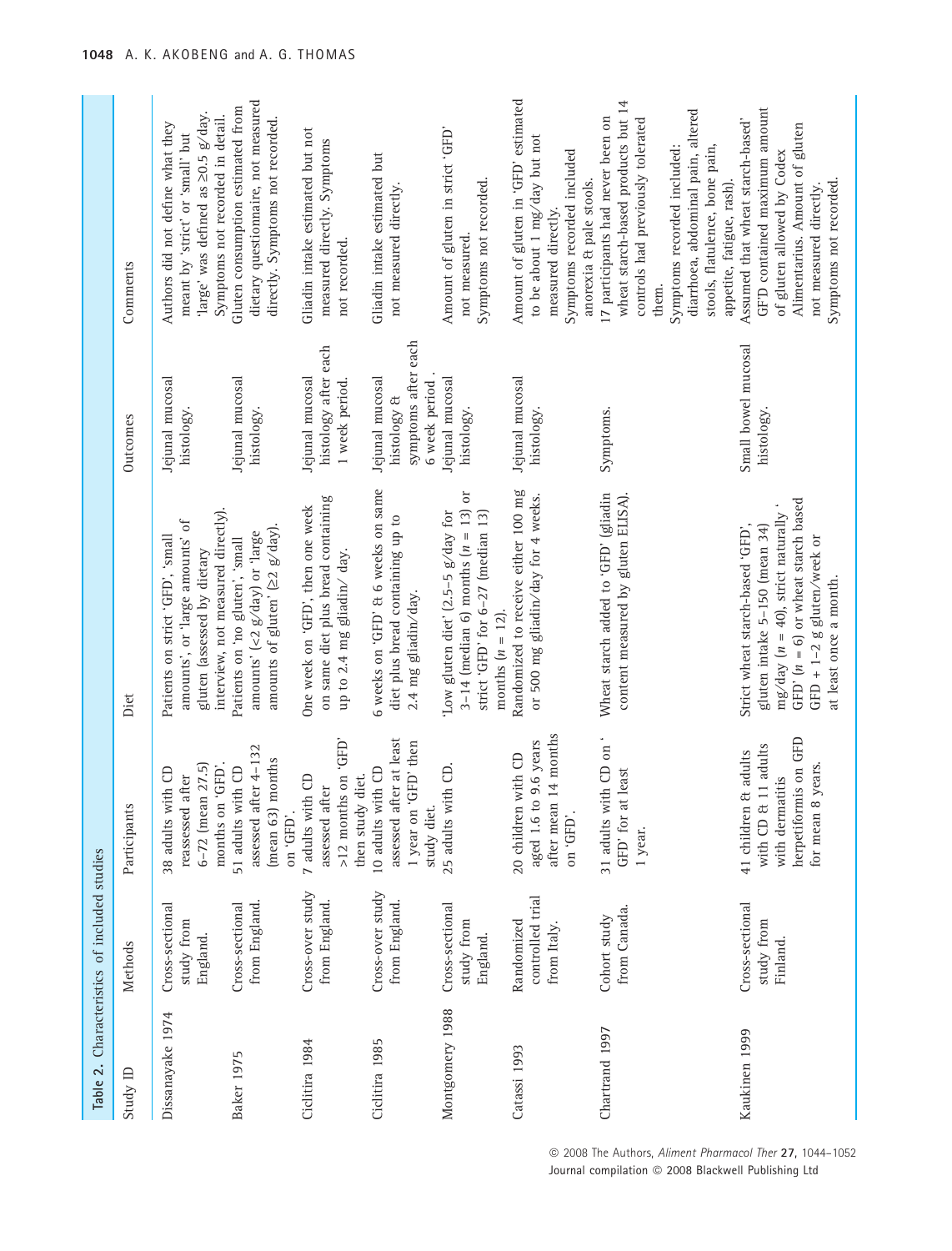|                   | Table 2. Characteristics of included studies    |                                                                                                                   |                                                                                                                                                                                                              |                                                                        |                                                                                                                                                                                                                                                           |
|-------------------|-------------------------------------------------|-------------------------------------------------------------------------------------------------------------------|--------------------------------------------------------------------------------------------------------------------------------------------------------------------------------------------------------------|------------------------------------------------------------------------|-----------------------------------------------------------------------------------------------------------------------------------------------------------------------------------------------------------------------------------------------------------|
| Study ID          | Methods                                         | Participants                                                                                                      | Diet                                                                                                                                                                                                         | Outcomes                                                               | Comments                                                                                                                                                                                                                                                  |
| Dissanayake 1974  | Cross-sectional<br>study from<br>England.       | 6-72 (mean 27.5)<br>months on 'GFD'.<br>38 adults with CD<br>reassessed after                                     | interview, not measured directly).<br>amounts', or 'large amounts' of<br>Patients on strict 'GFD', 'small<br>gluten (assessed by dietary                                                                     | Jejunal mucosal<br>histology.                                          | 'large' was defined as 20.5 g/day.<br>Symptoms not recorded in detail.<br>Authors did not define what they<br>meant by 'strict' or 'small' but                                                                                                            |
| <b>Baker 1975</b> | from England.<br>Cross-sectional                | assessed after 4-132<br>months<br>51 adults with CD<br>(mean 63)<br>on 'GFD'.                                     | amounts of gluten' $(22 \text{ g/day})$ .<br>amounts' (<2 $g$ /day) or 'large<br>Patients on 'no gluten', 'small                                                                                             | Jejunal mucosal<br>histology.                                          | dietary questionnaire, not measured<br>Gluten consumption estimated from<br>directly. Symptoms not recorded.                                                                                                                                              |
| Ciclitira 1984    | Cross-over study<br>from England.               | GFD, uo suppou z <sub>1</sub> <<br>then study diet.<br>7 adults with CD<br>assessed after                         | on same diet plus bread containing<br>One week on 'GFD', then one week<br>up to 2.4 mg gliadin/day.                                                                                                          | histology after each<br>Jejunal mucosal<br>1 week period.              | Gliadin intake estimated but not<br>measured directly. Symptoms<br>not recorded.                                                                                                                                                                          |
| Ciclitira 1985    | Cross-over study<br>from England.               | assessed after at least<br>1 year on 'GFD' then<br>10 adults with CD<br>study diet                                | 6 weeks on 'GFD' & 6 weeks on same<br>diet plus bread containing up to<br>2.4 mg gliadin/day.                                                                                                                | symptoms after each<br>Jejunal mucosal<br>6 week period<br>histology & | Gliadin intake estimated but<br>not measured directly.                                                                                                                                                                                                    |
| Montgomery 1988   | Cross-sectional<br>study from<br>England.       | 25 adults with CD.                                                                                                | 3-14 (median 6) months $(n = 13)$ or<br>strict 'GFD' for 6-27 (median 13)<br>Low gluten diet' (2.5-5 g/day for<br>months $(n = 12)$ .                                                                        | Jejunal mucosal<br>histology.                                          | Amount of gluten in strict 'GFD'<br>Symptoms not recorded.<br>not measured.                                                                                                                                                                               |
| Catassi 1993      | controlled trial<br>Randomized<br>from Italy.   | after mean 14 months<br>aged 1.6 to 9.6 years<br>20 children with CD<br>on 'GFD'.                                 | Randomized to receive either 100 mg<br>or 500 mg gliadin/day for 4 weeks.                                                                                                                                    | Jejunal mucosal<br>histology.                                          | Amount of gluten in 'GFD' estimated<br>to be about 1 mg/day but not<br>Symptoms recorded included<br>anorexia & pale stools.<br>measured directly.                                                                                                        |
| Chartrand 1997    | from Canada.<br>Cohort study                    | 31 adults with CD on<br>GFD' for at least<br>1 year.                                                              | Wheat starch added to 'GFD' (gliadin<br>content measured by gluten ELISA).                                                                                                                                   | Symptoms.                                                              | wheat starch-based products but 14<br>diarrhoea, abdominal pain, altered<br>17 participants had never been on<br>controls had previously tolerated<br>stools, flatulence, bone pain,<br>Symptoms recorded included:<br>appetite, fatigue, rash).<br>them. |
| Kaukinen 1999     | Cross-sectional<br>study from<br><b>Finland</b> | herpetiformis on GFD<br>with CD & 11 adults<br>& adults<br>8 years.<br>with dermatitis<br>41 children<br>for mean | GFD' $(n = 6)$ or wheat starch based<br>mg/day ( $n = 40$ ), strict naturally '<br>gluten intake 5-150 (mean 34)<br>Strict wheat starch-based 'GFD',<br>GFD + 1-2 g gluten/week or<br>at least once a month. | Small bowel mucosal<br>histology.                                      | GF'D contained maximum amount<br>Assumed that wheat starch-based'<br>Alimentarius. Amount of gluten<br>of gluten allowed by Codex<br>Symptoms not recorded.<br>not measured directly.                                                                     |

© 2008 The Authors, Aliment Pharmacol Ther 27, 1044-1052 Journal compilation @ 2008 Blackwell Publishing Ltd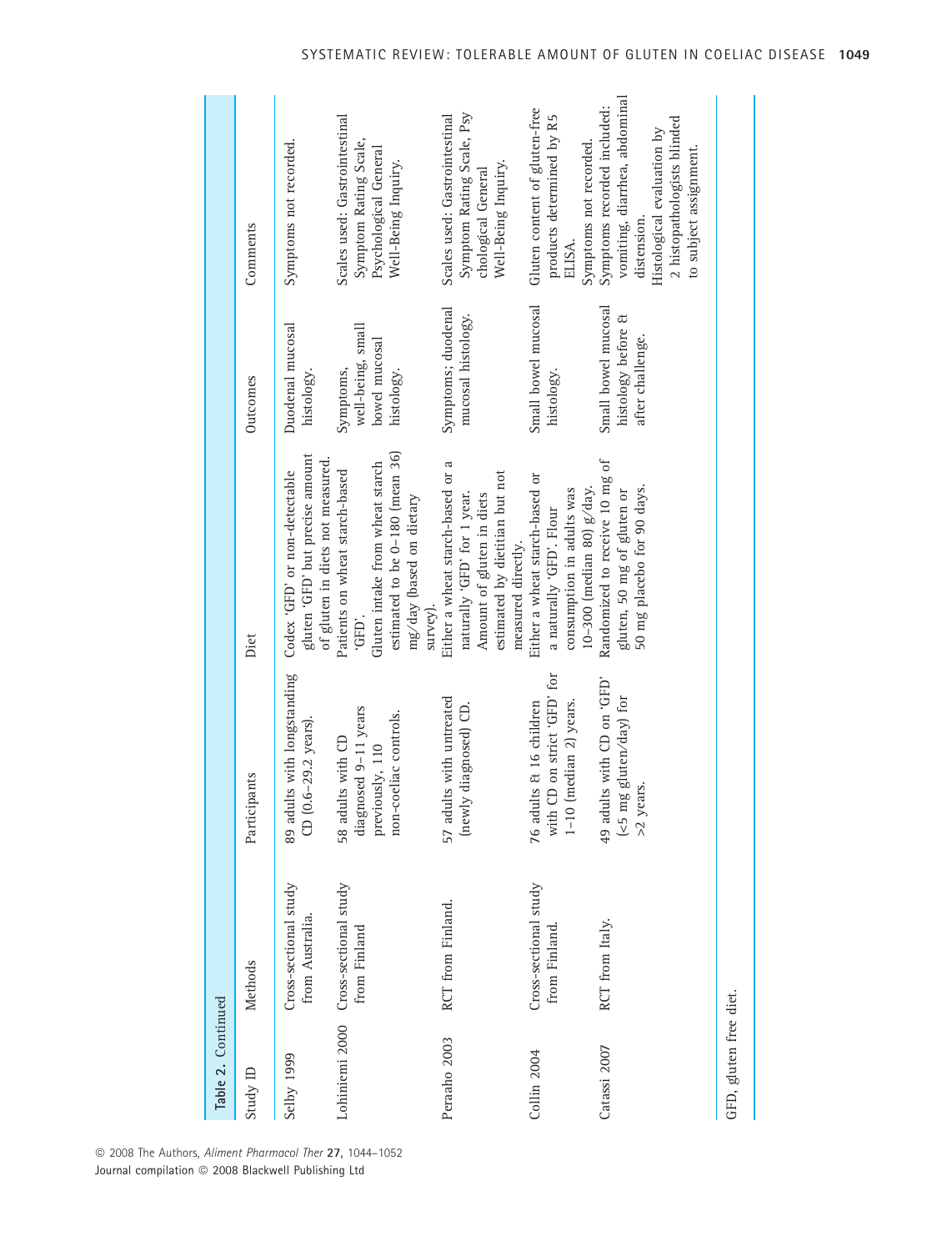| Table 2. Continued     |                                                      |                                                                                              |                                                                                                                                                      |                                                               |                                                                                                                                                                    |
|------------------------|------------------------------------------------------|----------------------------------------------------------------------------------------------|------------------------------------------------------------------------------------------------------------------------------------------------------|---------------------------------------------------------------|--------------------------------------------------------------------------------------------------------------------------------------------------------------------|
| Study ID               | Methods                                              | Participants                                                                                 | Dict                                                                                                                                                 | Outcomes                                                      | Comments                                                                                                                                                           |
| Selby 1999             | Cross-sectional study<br>from Australia.             | 89 adults with longstanding<br>CD (0.6-29.2 years).                                          | gluten 'GFD' but precise amount<br>of gluten in diets not measured.<br>Codex 'GFD' or non-detectable                                                 | Duodenal mucosal<br>histology.                                | Symptoms not recorded.                                                                                                                                             |
|                        | Lohiniemi 2000 Cross-sectional study<br>from Finland | diagnosed 9-11 years<br>non-coeliac controls.<br>58 adults with CD<br>previously, 110        | estimated to be 0-180 (mean 36)<br>Gluten intake from wheat starch<br>Patients on wheat starch-based<br>mg/day (based on dietary<br>survey).<br>ίΗĐ, | well-being, small<br>bowel mucosal<br>Symptoms,<br>histology. | Scales used: Gastrointestinal<br>Symptom Rating Scale,<br>Psychological General<br>Well-Being Inquiry.                                                             |
| Peraaho 2003           | RCT from Finland.                                    | 57 adults with untreated<br>(newly diagnosed) CD.                                            | Either a wheat starch-based or a<br>estimated by dietitian but not<br>naturally 'GFD' for 1 year.<br>Amount of gluten in diets<br>measured directly. | Symptoms; duodenal<br>mucosal histology.                      | Symptom Rating Scale, Psy<br>Scales used: Gastrointestinal<br>Well-Being Inquiry.<br>chological General                                                            |
| Collin 2004            | Cross-sectional study<br>from Finland.               | CD on strict 'GFD' for<br>76 adults & 16 children<br>(median 2) years.<br>with (<br>$1 - 10$ | Either a wheat starch-based or<br>10-300 (median 80) g/day.<br>consumption in adults was<br>a naturally 'GFD'. Flour                                 | Small bowel mucosal<br>histology.                             | Gluten content of gluten-free<br>products determined by R5<br>Symptoms not recorded.<br>ELISA.                                                                     |
| Catassi 2007           | RCT from Italy.                                      | 49 adults with CD on 'GFD'<br>(<5 mg gluten/day) for<br>>2 years.                            | Randomized to receive 10 mg of<br>50 mg placebo for 90 days.<br>gluten, 50 mg of gluten or                                                           | Small bowel mucosal<br>histology before &<br>after challenge. | vomiting, diarrhea, abdominal<br>Symptoms recorded included:<br>2 histopathologists blinded<br>Histological evaluation by<br>to subject assignment.<br>distension. |
| GFD, gluten free diet. |                                                      |                                                                                              |                                                                                                                                                      |                                                               |                                                                                                                                                                    |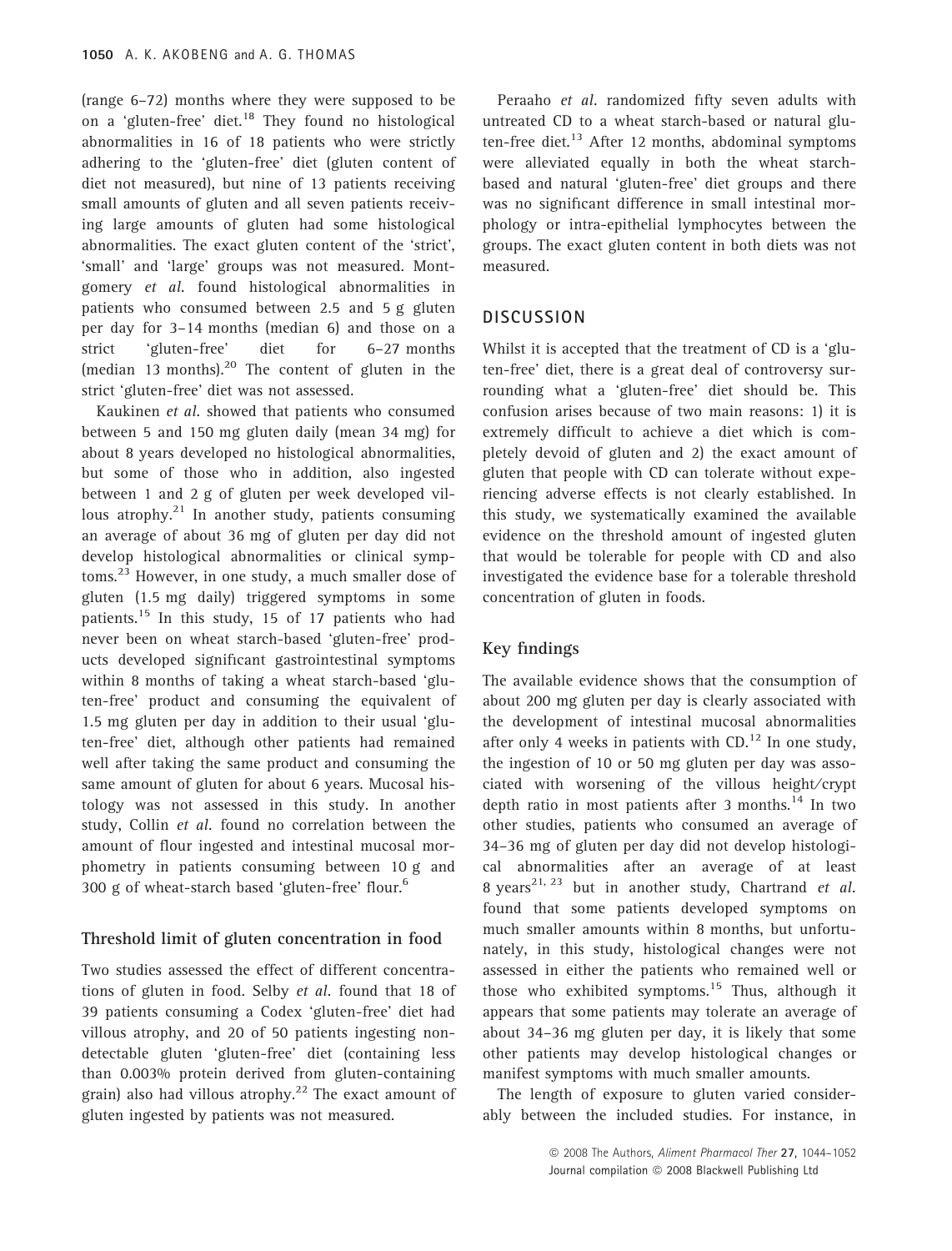(range 6–72) months where they were supposed to be on a 'gluten-free' diet. $18$  They found no histological abnormalities in 16 of 18 patients who were strictly adhering to the 'gluten-free' diet (gluten content of diet not measured), but nine of 13 patients receiving small amounts of gluten and all seven patients receiving large amounts of gluten had some histological abnormalities. The exact gluten content of the 'strict', 'small' and 'large' groups was not measured. Montgomery et al. found histological abnormalities in patients who consumed between 2.5 and 5 g gluten per day for 3–14 months (median 6) and those on a strict 'gluten-free' diet for 6–27 months (median 13 months).<sup>20</sup> The content of gluten in the strict 'gluten-free' diet was not assessed.

Kaukinen et al. showed that patients who consumed between 5 and 150 mg gluten daily (mean 34 mg) for about 8 years developed no histological abnormalities, but some of those who in addition, also ingested between 1 and 2 g of gluten per week developed villous atrophy. $21$  In another study, patients consuming an average of about 36 mg of gluten per day did not develop histological abnormalities or clinical symptoms.<sup>23</sup> However, in one study, a much smaller dose of gluten (1.5 mg daily) triggered symptoms in some patients.<sup>15</sup> In this study, 15 of 17 patients who had never been on wheat starch-based 'gluten-free' products developed significant gastrointestinal symptoms within 8 months of taking a wheat starch-based 'gluten-free' product and consuming the equivalent of 1.5 mg gluten per day in addition to their usual 'gluten-free' diet, although other patients had remained well after taking the same product and consuming the same amount of gluten for about 6 years. Mucosal histology was not assessed in this study. In another study, Collin et al. found no correlation between the amount of flour ingested and intestinal mucosal morphometry in patients consuming between 10 g and 300 g of wheat-starch based 'gluten-free' flour.6

## Threshold limit of gluten concentration in food

Two studies assessed the effect of different concentrations of gluten in food. Selby et al. found that 18 of 39 patients consuming a Codex 'gluten-free' diet had villous atrophy, and 20 of 50 patients ingesting nondetectable gluten 'gluten-free' diet (containing less than 0.003% protein derived from gluten-containing grain) also had villous atrophy.<sup>22</sup> The exact amount of gluten ingested by patients was not measured.

Peraaho et al. randomized fifty seven adults with untreated CD to a wheat starch-based or natural gluten-free diet. $^{13}$  After 12 months, abdominal symptoms were alleviated equally in both the wheat starchbased and natural 'gluten-free' diet groups and there was no significant difference in small intestinal morphology or intra-epithelial lymphocytes between the groups. The exact gluten content in both diets was not measured.

## **DISCUSSION**

Whilst it is accepted that the treatment of CD is a 'gluten-free' diet, there is a great deal of controversy surrounding what a 'gluten-free' diet should be. This confusion arises because of two main reasons: 1) it is extremely difficult to achieve a diet which is completely devoid of gluten and 2) the exact amount of gluten that people with CD can tolerate without experiencing adverse effects is not clearly established. In this study, we systematically examined the available evidence on the threshold amount of ingested gluten that would be tolerable for people with CD and also investigated the evidence base for a tolerable threshold concentration of gluten in foods.

#### Key findings

The available evidence shows that the consumption of about 200 mg gluten per day is clearly associated with the development of intestinal mucosal abnormalities after only 4 weeks in patients with  $CD<sup>12</sup>$  In one study, the ingestion of 10 or 50 mg gluten per day was associated with worsening of the villous height⁄ crypt depth ratio in most patients after 3 months. $^{14}$  In two other studies, patients who consumed an average of 34–36 mg of gluten per day did not develop histological abnormalities after an average of at least 8 vears<sup>21, 23</sup> but in another study, Chartrand et al. found that some patients developed symptoms on much smaller amounts within 8 months, but unfortunately, in this study, histological changes were not assessed in either the patients who remained well or those who exhibited symptoms.<sup>15</sup> Thus, although it appears that some patients may tolerate an average of about 34–36 mg gluten per day, it is likely that some other patients may develop histological changes or manifest symptoms with much smaller amounts.

The length of exposure to gluten varied considerably between the included studies. For instance, in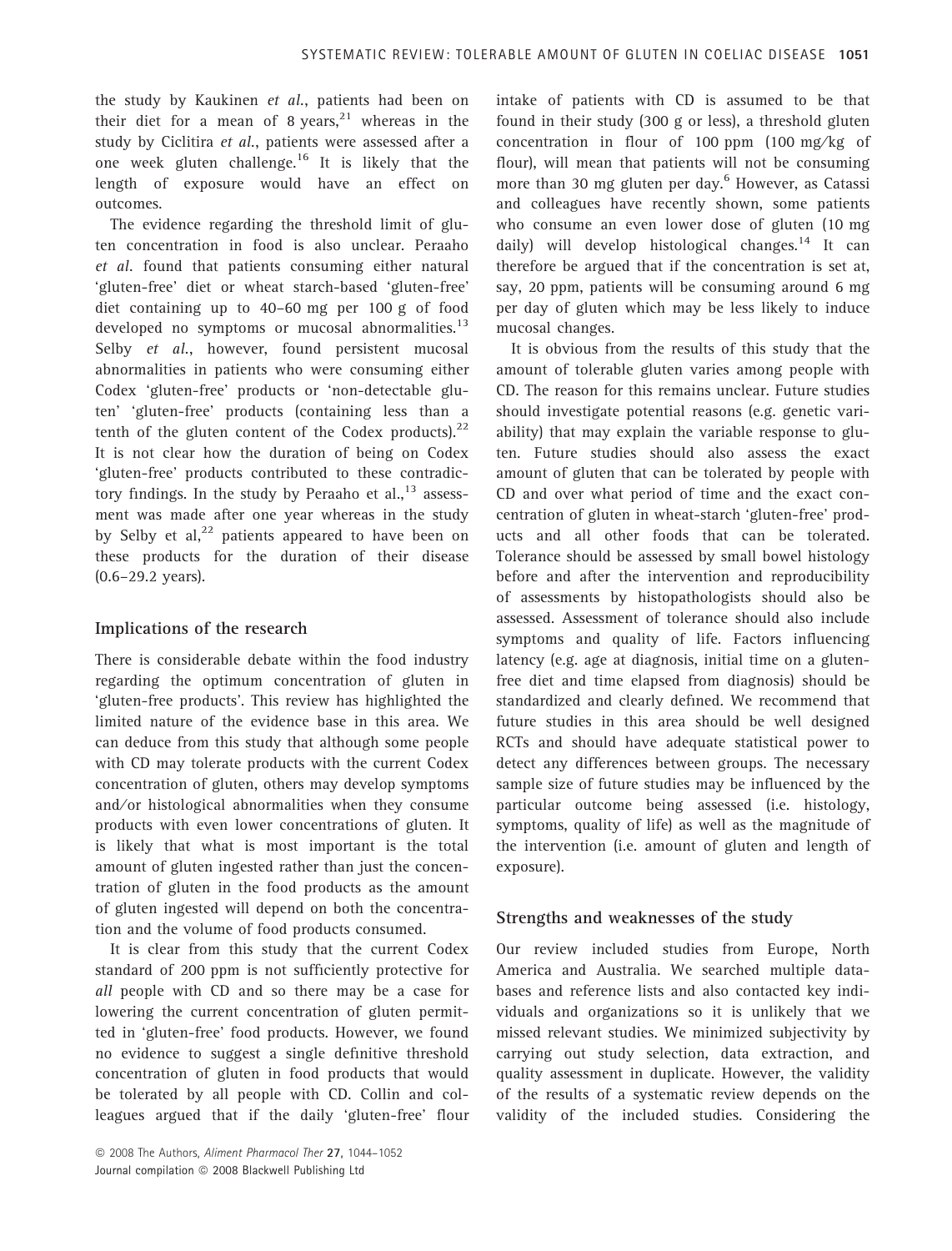the study by Kaukinen et al., patients had been on their diet for a mean of 8 years, $21$  whereas in the study by Ciclitira et al., patients were assessed after a one week gluten challenge.<sup>16</sup> It is likely that the length of exposure would have an effect on outcomes.

The evidence regarding the threshold limit of gluten concentration in food is also unclear. Peraaho et al. found that patients consuming either natural 'gluten-free' diet or wheat starch-based 'gluten-free' diet containing up to 40–60 mg per 100 g of food developed no symptoms or mucosal abnormalities. $^{13}$ Selby et al., however, found persistent mucosal abnormalities in patients who were consuming either Codex 'gluten-free' products or 'non-detectable gluten' 'gluten-free' products (containing less than a tenth of the gluten content of the Codex products). $22$ It is not clear how the duration of being on Codex 'gluten-free' products contributed to these contradictory findings. In the study by Peraaho et al.,  $^{13}$  assessment was made after one year whereas in the study by Selby et al, $^{22}$  patients appeared to have been on these products for the duration of their disease (0.6–29.2 years).

## Implications of the research

There is considerable debate within the food industry regarding the optimum concentration of gluten in 'gluten-free products'. This review has highlighted the limited nature of the evidence base in this area. We can deduce from this study that although some people with CD may tolerate products with the current Codex concentration of gluten, others may develop symptoms and/or histological abnormalities when they consume products with even lower concentrations of gluten. It is likely that what is most important is the total amount of gluten ingested rather than just the concentration of gluten in the food products as the amount of gluten ingested will depend on both the concentration and the volume of food products consumed.

It is clear from this study that the current Codex standard of 200 ppm is not sufficiently protective for all people with CD and so there may be a case for lowering the current concentration of gluten permitted in 'gluten-free' food products. However, we found no evidence to suggest a single definitive threshold concentration of gluten in food products that would be tolerated by all people with CD. Collin and colleagues argued that if the daily 'gluten-free' flour intake of patients with CD is assumed to be that found in their study (300 g or less), a threshold gluten concentration in flour of 100 ppm (100 mg/kg of flour), will mean that patients will not be consuming more than 30 mg gluten per day.<sup>6</sup> However, as Catassi and colleagues have recently shown, some patients who consume an even lower dose of gluten (10 mg daily) will develop histological changes.<sup>14</sup> It can therefore be argued that if the concentration is set at, say, 20 ppm, patients will be consuming around 6 mg per day of gluten which may be less likely to induce mucosal changes.

It is obvious from the results of this study that the amount of tolerable gluten varies among people with CD. The reason for this remains unclear. Future studies should investigate potential reasons (e.g. genetic variability) that may explain the variable response to gluten. Future studies should also assess the exact amount of gluten that can be tolerated by people with CD and over what period of time and the exact concentration of gluten in wheat-starch 'gluten-free' products and all other foods that can be tolerated. Tolerance should be assessed by small bowel histology before and after the intervention and reproducibility of assessments by histopathologists should also be assessed. Assessment of tolerance should also include symptoms and quality of life. Factors influencing latency (e.g. age at diagnosis, initial time on a glutenfree diet and time elapsed from diagnosis) should be standardized and clearly defined. We recommend that future studies in this area should be well designed RCTs and should have adequate statistical power to detect any differences between groups. The necessary sample size of future studies may be influenced by the particular outcome being assessed (i.e. histology, symptoms, quality of life) as well as the magnitude of the intervention (i.e. amount of gluten and length of exposure).

#### Strengths and weaknesses of the study

Our review included studies from Europe, North America and Australia. We searched multiple databases and reference lists and also contacted key individuals and organizations so it is unlikely that we missed relevant studies. We minimized subjectivity by carrying out study selection, data extraction, and quality assessment in duplicate. However, the validity of the results of a systematic review depends on the validity of the included studies. Considering the